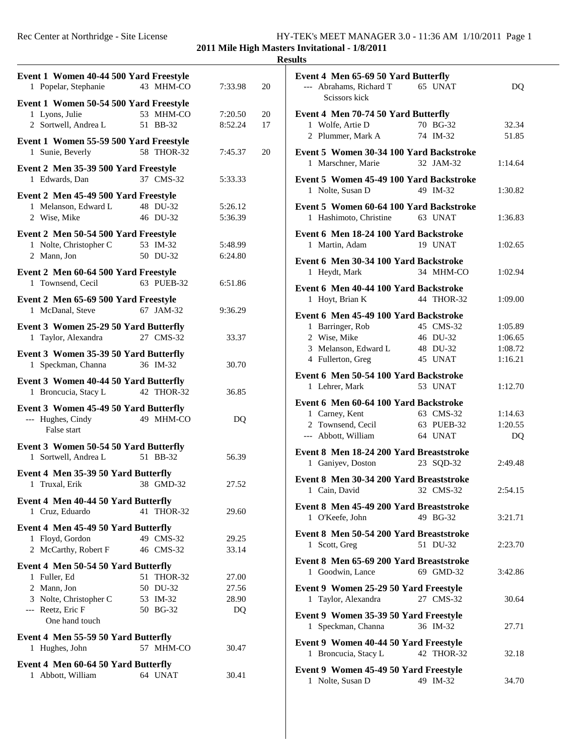## **2011 Mile High Masters Invitational - 1/8/2011**

#### **Results**

| Event 1 Women 40-44 500 Yard Freestyle                    |                        |                |    | Event 4 Men 65-69 50 Yard Butterfly                                        |         |
|-----------------------------------------------------------|------------------------|----------------|----|----------------------------------------------------------------------------|---------|
| 1 Popelar, Stephanie                                      | 43 MHM-CO              | 7:33.98        | 20 | --- Abrahams, Richard T<br>65 UNAT<br>Scissors kick                        | DQ      |
| Event 1 Women 50-54 500 Yard Freestyle<br>1 Lyons, Julie  | 53 MHM-CO              | 7:20.50        | 20 | Event 4 Men 70-74 50 Yard Butterfly                                        |         |
| 2 Sortwell, Andrea L                                      | 51 BB-32               | 8:52.24        | 17 | 1 Wolfe, Artie D<br>70 BG-32                                               | 32.34   |
|                                                           |                        |                |    | 2 Plummer, Mark A<br>74 IM-32                                              | 51.85   |
| Event 1 Women 55-59 500 Yard Freestyle                    |                        |                |    |                                                                            |         |
| 1 Sunie, Beverly                                          | 58 THOR-32             | 7:45.37        | 20 | Event 5 Women 30-34 100 Yard Backstroke<br>1 Marschner, Marie<br>32 JAM-32 | 1:14.64 |
| Event 2 Men 35-39 500 Yard Freestyle                      |                        |                |    |                                                                            |         |
| 1 Edwards, Dan                                            | 37 CMS-32              | 5:33.33        |    | Event 5 Women 45-49 100 Yard Backstroke                                    |         |
| Event 2 Men 45-49 500 Yard Freestyle                      |                        |                |    | 1 Nolte, Susan D<br>49 IM-32                                               | 1:30.82 |
| 1 Melanson, Edward L                                      | 48 DU-32               | 5:26.12        |    | Event 5 Women 60-64 100 Yard Backstroke                                    |         |
| 2 Wise, Mike                                              | 46 DU-32               | 5:36.39        |    | 1 Hashimoto, Christine<br>63 UNAT                                          | 1:36.83 |
| Event 2 Men 50-54 500 Yard Freestyle                      |                        |                |    | Event 6 Men 18-24 100 Yard Backstroke                                      |         |
| 1 Nolte, Christopher C                                    | 53 IM-32               | 5:48.99        |    | 1 Martin, Adam<br>19 UNAT                                                  | 1:02.65 |
| 2 Mann, Jon                                               | 50 DU-32               | 6:24.80        |    |                                                                            |         |
|                                                           |                        |                |    | Event 6 Men 30-34 100 Yard Backstroke<br>34 MHM-CO                         |         |
| Event 2 Men 60-64 500 Yard Freestyle<br>1 Townsend, Cecil | 63 PUEB-32             | 6:51.86        |    | 1 Heydt, Mark                                                              | 1:02.94 |
|                                                           |                        |                |    | Event 6 Men 40-44 100 Yard Backstroke                                      |         |
| Event 2 Men 65-69 500 Yard Freestyle                      |                        |                |    | 1 Hoyt, Brian K<br>44 THOR-32                                              | 1:09.00 |
| 1 McDanal, Steve                                          | 67 JAM-32              | 9:36.29        |    | Event 6 Men 45-49 100 Yard Backstroke                                      |         |
| Event 3 Women 25-29 50 Yard Butterfly                     |                        |                |    | 1 Barringer, Rob<br>45 CMS-32                                              | 1:05.89 |
| 1 Taylor, Alexandra                                       | 27 CMS-32              | 33.37          |    | 2 Wise, Mike<br>46 DU-32                                                   | 1:06.65 |
| Event 3 Women 35-39 50 Yard Butterfly                     |                        |                |    | 3 Melanson, Edward L<br>48 DU-32                                           | 1:08.72 |
| 1 Speckman, Channa                                        | 36 IM-32               | 30.70          |    | 4 Fullerton, Greg<br>45 UNAT                                               | 1:16.21 |
| Event 3 Women 40-44 50 Yard Butterfly                     |                        |                |    | Event 6 Men 50-54 100 Yard Backstroke                                      |         |
| 1 Broncucia, Stacy L                                      | 42 THOR-32             | 36.85          |    | 1 Lehrer, Mark<br>53 UNAT                                                  | 1:12.70 |
|                                                           |                        |                |    | Event 6 Men 60-64 100 Yard Backstroke                                      |         |
| Event 3 Women 45-49 50 Yard Butterfly                     |                        |                |    | 63 CMS-32<br>1 Carney, Kent                                                | 1:14.63 |
| --- Hughes, Cindy<br>False start                          | 49 MHM-CO              | DQ             |    | 2 Townsend, Cecil<br>63 PUEB-32                                            | 1:20.55 |
|                                                           |                        |                |    | --- Abbott, William<br>64 UNAT                                             | DQ      |
| Event 3 Women 50-54 50 Yard Butterfly                     |                        |                |    | Event 8 Men 18-24 200 Yard Breaststroke                                    |         |
| 1 Sortwell, Andrea L                                      | 51 BB-32               | 56.39          |    | 1 Ganiyev, Doston<br>23 SQD-32                                             | 2:49.48 |
| Event 4 Men 35-39 50 Yard Butterfly                       |                        |                |    | Event 8 Men 30-34 200 Yard Breaststroke                                    |         |
| 1 Truxal, Erik                                            | 38 GMD-32              | 27.52          |    | 1 Cain, David<br>32 CMS-32                                                 | 2:54.15 |
| Event 4 Men 40-44 50 Yard Butterfly                       |                        |                |    |                                                                            |         |
| 1 Cruz, Eduardo                                           | 41 THOR-32             | 29.60          |    | Event 8 Men 45-49 200 Yard Breaststroke                                    |         |
| Event 4 Men 45-49 50 Yard Butterfly                       |                        |                |    | 1 O'Keefe, John<br>49 BG-32                                                | 3:21.71 |
| 1 Floyd, Gordon                                           | 49 CMS-32              | 29.25          |    | Event 8 Men 50-54 200 Yard Breaststroke                                    |         |
| 2 McCarthy, Robert F                                      | 46 CMS-32              | 33.14          |    | 51 DU-32<br>1 Scott, Greg                                                  | 2:23.70 |
|                                                           |                        |                |    | Event 8 Men 65-69 200 Yard Breaststroke                                    |         |
| Event 4 Men 50-54 50 Yard Butterfly                       |                        |                |    | 1 Goodwin, Lance<br>69 GMD-32                                              | 3:42.86 |
| 1 Fuller, Ed<br>2 Mann, Jon                               | 51 THOR-32<br>50 DU-32 | 27.00<br>27.56 |    | Event 9 Women 25-29 50 Yard Freestyle                                      |         |
| 3 Nolte, Christopher C                                    | 53 IM-32               | 28.90          |    | 1 Taylor, Alexandra<br>27 CMS-32                                           | 30.64   |
| --- Reetz, Eric F                                         | 50 BG-32               | DQ             |    |                                                                            |         |
| One hand touch                                            |                        |                |    | Event 9 Women 35-39 50 Yard Freestyle                                      |         |
| Event 4 Men 55-59 50 Yard Butterfly                       |                        |                |    | 1 Speckman, Channa<br>36 IM-32                                             | 27.71   |
| 1 Hughes, John                                            | 57 MHM-CO              | 30.47          |    | Event 9 Women 40-44 50 Yard Freestyle                                      |         |
|                                                           |                        |                |    | 42 THOR-32<br>1 Broncucia, Stacy L                                         | 32.18   |
| Event 4 Men 60-64 50 Yard Butterfly                       |                        |                |    | Event 9 Women 45-49 50 Yard Freestyle                                      |         |
| 1 Abbott, William                                         | 64 UNAT                | 30.41          |    | 1 Nolte, Susan D<br>49 IM-32                                               | 34.70   |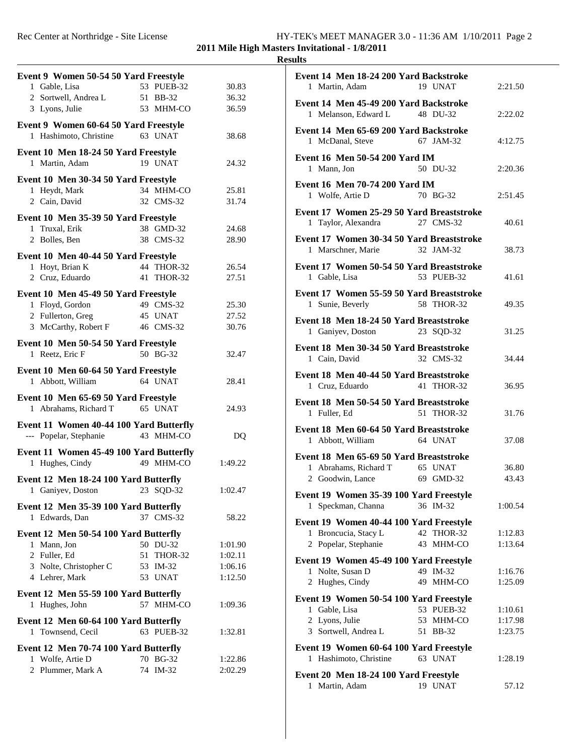### **2011 Mile High Masters Invitational - 1/8/2011 Results**

| Event 9 Women 50-54 50 Yard Freestyle                   |            |                |  |
|---------------------------------------------------------|------------|----------------|--|
| 1 Gable, Lisa                                           | 53 PUEB-32 | 30.83          |  |
| 2 Sortwell, Andrea L 51 BB-32                           |            | 36.32          |  |
| 3 Lyons, Julie                                          | 53 MHM-CO  | 36.59          |  |
|                                                         |            |                |  |
| Event 9 Women 60-64 50 Yard Freestyle                   |            |                |  |
| 1 Hashimoto, Christine                                  | 63 UNAT    | 38.68          |  |
| Event 10 Men 18-24 50 Yard Freestyle                    |            |                |  |
| 1 Martin, Adam                                          | 19 UNAT    | 24.32          |  |
|                                                         |            |                |  |
| Event 10 Men 30-34 50 Yard Freestyle                    | 34 MHM-CO  |                |  |
| 1 Heydt, Mark<br>2 Cain, David                          | 32 CMS-32  | 25.81<br>31.74 |  |
|                                                         |            |                |  |
| Event 10 Men 35-39 50 Yard Freestyle                    |            |                |  |
| 1 Truxal, Erik                                          | 38 GMD-32  | 24.68          |  |
| 2 Bolles, Ben                                           | 38 CMS-32  | 28.90          |  |
| Event 10 Men 40-44 50 Yard Freestyle                    |            |                |  |
| 1 Hoyt, Brian K                                         | 44 THOR-32 | 26.54          |  |
| 2 Cruz, Eduardo                                         | 41 THOR-32 | 27.51          |  |
|                                                         |            |                |  |
| Event 10 Men 45-49 50 Yard Freestyle                    |            |                |  |
| 1 Floyd, Gordon                                         | 49 CMS-32  | 25.30          |  |
| 2 Fullerton, Greg                                       | 45 UNAT    | 27.52          |  |
| 3 McCarthy, Robert F 46 CMS-32                          |            | 30.76          |  |
| Event 10 Men 50-54 50 Yard Freestyle                    |            |                |  |
| 1 Reetz, Eric F                                         | 50 BG-32   | 32.47          |  |
|                                                         |            |                |  |
| Event 10 Men 60-64 50 Yard Freestyle                    |            |                |  |
| 1 Abbott, William                                       | 64 UNAT    | 28.41          |  |
| Event 10 Men 65-69 50 Yard Freestyle                    |            |                |  |
| 1 Abrahams, Richard T                                   | 65 UNAT    | 24.93          |  |
| Event 11 Women 40-44 100 Yard Butterfly                 |            |                |  |
| --- Popelar, Stephanie                                  | 43 MHM-CO  | DQ             |  |
|                                                         |            |                |  |
| Event 11 Women 45-49 100 Yard Butterfly                 |            |                |  |
| 1 Hughes, Cindy                                         | 49 MHM-CO  | 1:49.22        |  |
| Event 12 Men 18-24 100 Yard Butterfly                   |            |                |  |
| 1 Ganiyev, Doston 23 SQD-32                             |            | 1:02.47        |  |
|                                                         |            |                |  |
| Event 12 Men 35-39 100 Yard Butterfly<br>1 Edwards, Dan | 37 CMS-32  | 58.22          |  |
|                                                         |            |                |  |
| Event 12 Men 50-54 100 Yard Butterfly                   |            |                |  |
| 1 Mann, Jon                                             | 50 DU-32   | 1:01.90        |  |
| 2 Fuller, Ed                                            | 51 THOR-32 | 1:02.11        |  |
| 3 Nolte, Christopher C                                  | 53 IM-32   | 1:06.16        |  |
| 4 Lehrer, Mark                                          | 53 UNAT    | 1:12.50        |  |
| Event 12 Men 55-59 100 Yard Butterfly                   |            |                |  |
| 1 Hughes, John                                          | 57 MHM-CO  | 1:09.36        |  |
|                                                         |            |                |  |
| Event 12 Men 60-64 100 Yard Butterfly                   |            |                |  |
| 1 Townsend, Cecil                                       | 63 PUEB-32 | 1:32.81        |  |
| Event 12 Men 70-74 100 Yard Butterfly                   |            |                |  |
| 1 Wolfe, Artie D                                        | 70 BG-32   | 1:22.86        |  |
| 2 Plummer, Mark A                                       | 74 IM-32   | 2:02.29        |  |
|                                                         |            |                |  |

| Event 14 Men 18-24 200 Yard Backstroke<br>1 Martin, Adam                                           | 19 UNAT                             | 2:21.50                       |
|----------------------------------------------------------------------------------------------------|-------------------------------------|-------------------------------|
| Event 14 Men 45-49 200 Yard Backstroke<br>1 Melanson, Edward L 48 DU-32                            |                                     | 2:22.02                       |
| Event 14 Men 65-69 200 Yard Backstroke<br>1 McDanal, Steve                                         | 67 JAM-32                           | 4:12.75                       |
| <b>Event 16 Men 50-54 200 Yard IM</b><br>1 Mann, Jon                                               | 50 DU-32                            | 2:20.36                       |
| Event 16 Men 70-74 200 Yard IM<br>1 Wolfe, Artie D                                                 | 70 BG-32                            | 2:51.45                       |
| Event 17 Women 25-29 50 Yard Breaststroke<br>1 Taylor, Alexandra                                   | 27 CMS-32                           | 40.61                         |
| Event 17 Women 30-34 50 Yard Breaststroke<br>1 Marschner, Marie                                    | 32 JAM-32                           | 38.73                         |
| Event 17 Women 50-54 50 Yard Breaststroke<br>1 Gable, Lisa                                         | 53 PUEB-32                          | 41.61                         |
| Event 17 Women 55-59 50 Yard Breaststroke<br>1 Sunie, Beverly                                      | 58 THOR-32                          | 49.35                         |
| Event 18 Men 18-24 50 Yard Breaststroke<br>1 Ganiyev, Doston                                       | 23 SQD-32                           | 31.25                         |
| Event 18 Men 30-34 50 Yard Breaststroke<br>1 Cain, David                                           | 32 CMS-32                           | 34.44                         |
| Event 18 Men 40-44 50 Yard Breaststroke<br>1 Cruz, Eduardo                                         | 41 THOR-32                          | 36.95                         |
| Event 18 Men 50-54 50 Yard Breaststroke<br>1 Fuller, Ed                                            | 51 THOR-32                          | 31.76                         |
| Event 18 Men 60-64 50 Yard Breaststroke<br>1 Abbott, William                                       | 64 UNAT                             | 37.08                         |
| Event 18 Men 65-69 50 Yard Breaststroke<br>1 Abrahams, Richard T 65 UNAT<br>2 Goodwin, Lance       | 69 GMD-32                           | 36.80<br>43.43                |
| Event 19 Women 35-39 100 Yard Freestyle<br>1 Speckman, Channa                                      | 36 IM-32                            | 1:00.54                       |
| Event 19 Women 40-44 100 Yard Freestyle<br>Broncucia, Stacy L<br>1<br>2 Popelar, Stephanie         | 42 THOR-32<br>43 MHM-CO             | 1:12.83<br>1:13.64            |
| Event 19 Women 45-49 100 Yard Freestyle<br>1 Nolte, Susan D<br>2 Hughes, Cindy                     | 49 IM-32<br>49 MHM-CO               | 1:16.76<br>1:25.09            |
| Event 19 Women 50-54 100 Yard Freestyle<br>1 Gable, Lisa<br>2 Lyons, Julie<br>3 Sortwell, Andrea L | 53 PUEB-32<br>53 MHM-CO<br>51 BB-32 | 1:10.61<br>1:17.98<br>1:23.75 |
| Event 19 Women 60-64 100 Yard Freestyle<br>Hashimoto, Christine<br>1                               | 63 UNAT                             | 1:28.19                       |
| Event 20 Men 18-24 100 Yard Freestyle<br>1 Martin, Adam                                            | 19 UNAT                             | 57.12                         |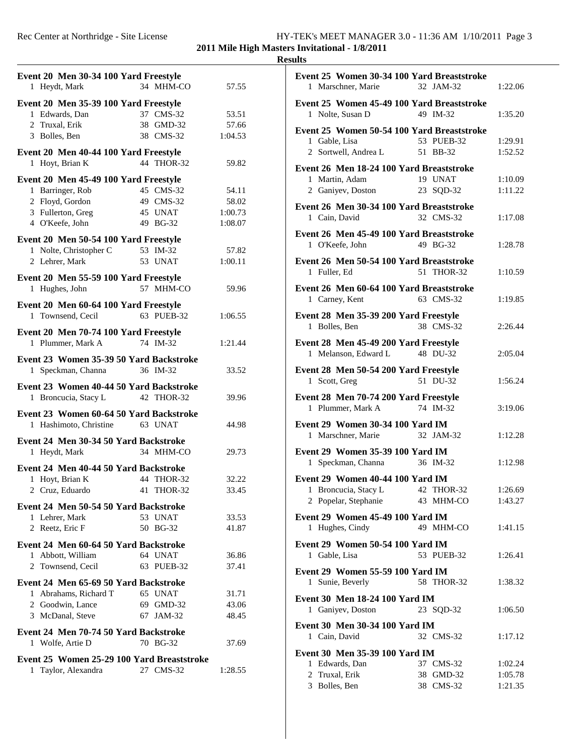**2011 Mile High Masters Invitational - 1/8/2011**

# **Results**

|                                                                   |    | Event 20 Men 30-34 100 Yard Freestyle |         |  |
|-------------------------------------------------------------------|----|---------------------------------------|---------|--|
| 1 Heydt, Mark                                                     |    | 34 MHM-CO                             | 57.55   |  |
| Event 20 Men 35-39 100 Yard Freestyle                             |    |                                       |         |  |
| 1 Edwards, Dan                                                    |    | 37 CMS-32                             | 53.51   |  |
| 2 Truxal, Erik                                                    |    | 38 GMD-32                             | 57.66   |  |
| 3 Bolles, Ben                                                     |    | 38 CMS-32                             | 1:04.53 |  |
|                                                                   |    |                                       |         |  |
| Event 20 Men 40-44 100 Yard Freestyle                             |    | 44 THOR-32                            |         |  |
| 1 Hoyt, Brian K                                                   |    |                                       | 59.82   |  |
| Event 20 Men 45-49 100 Yard Freestyle                             |    |                                       |         |  |
| 1 Barringer, Rob                                                  |    | 45 CMS-32                             | 54.11   |  |
| 2 Floyd, Gordon                                                   |    | 49 CMS-32                             | 58.02   |  |
| 3 Fullerton, Greg                                                 |    | 45 UNAT                               | 1:00.73 |  |
| 4 O'Keefe, John                                                   |    | 49 BG-32                              | 1:08.07 |  |
| Event 20 Men 50-54 100 Yard Freestyle                             |    |                                       |         |  |
| 1 Nolte, Christopher C                                            |    | 53 IM-32                              | 57.82   |  |
| 2 Lehrer, Mark                                                    |    | 53 UNAT                               | 1:00.11 |  |
| Event 20 Men 55-59 100 Yard Freestyle                             |    |                                       |         |  |
| 1 Hughes, John                                                    |    | 57 MHM-CO                             | 59.96   |  |
|                                                                   |    |                                       |         |  |
| Event 20 Men 60-64 100 Yard Freestyle                             |    |                                       |         |  |
| 1 Townsend, Cecil                                                 |    | 63 PUEB-32                            | 1:06.55 |  |
| Event 20 Men 70-74 100 Yard Freestyle                             |    |                                       |         |  |
| 1 Plummer, Mark A                                                 |    | 74 IM-32                              | 1:21.44 |  |
| Event 23 Women 35-39 50 Yard Backstroke                           |    |                                       |         |  |
| 1 Speckman, Channa                                                |    | 36 IM-32                              | 33.52   |  |
| Event 23 Women 40-44 50 Yard Backstroke                           |    |                                       |         |  |
| 1 Broncucia, Stacy L                                              |    | 42 THOR-32                            | 39.96   |  |
|                                                                   |    |                                       |         |  |
|                                                                   |    |                                       |         |  |
| Event 23 Women 60-64 50 Yard Backstroke                           |    |                                       |         |  |
| 1 Hashimoto, Christine 63 UNAT                                    |    |                                       | 44.98   |  |
| Event 24 Men 30-34 50 Yard Backstroke                             |    |                                       |         |  |
| 1 Heydt, Mark                                                     |    | 34 MHM-CO                             | 29.73   |  |
|                                                                   |    |                                       |         |  |
| Event 24 Men 40-44 50 Yard Backstroke                             |    |                                       |         |  |
| 1 Hoyt, Brian K                                                   |    | 44 THOR-32                            | 32.22   |  |
| 2 Cruz, Eduardo                                                   | 41 | THOR-32                               | 33.45   |  |
| Event 24 Men 50-54 50 Yard Backstroke                             |    |                                       |         |  |
| 1 Lehrer, Mark                                                    |    | 53 UNAT                               | 33.53   |  |
| 2 Reetz, Eric F                                                   |    | 50 BG-32                              | 41.87   |  |
| Event 24 Men 60-64 50 Yard Backstroke                             |    |                                       |         |  |
| 1 Abbott, William                                                 |    | 64 UNAT                               | 36.86   |  |
| 2 Townsend, Cecil                                                 |    | 63 PUEB-32                            | 37.41   |  |
| Event 24 Men 65-69 50 Yard Backstroke                             |    |                                       |         |  |
| 1 Abrahams, Richard T                                             |    | 65 UNAT                               | 31.71   |  |
| 2 Goodwin, Lance                                                  |    | 69 GMD-32                             | 43.06   |  |
| 3 McDanal, Steve                                                  |    | 67 JAM-32                             | 48.45   |  |
|                                                                   |    |                                       |         |  |
| Event 24 Men 70-74 50 Yard Backstroke                             |    |                                       |         |  |
| 1 Wolfe, Artie D                                                  |    | 70 BG-32                              | 37.69   |  |
| Event 25 Women 25-29 100 Yard Breaststroke<br>1 Taylor, Alexandra |    | 27 CMS-32                             | 1:28.55 |  |

| Event 25 Women 30-34 100 Yard Breaststroke                     |            |         |
|----------------------------------------------------------------|------------|---------|
| 1 Marschner, Marie                                             | 32 JAM-32  | 1:22.06 |
|                                                                |            |         |
| Event 25 Women 45-49 100 Yard Breaststroke<br>1 Nolte, Susan D | 49 IM-32   | 1:35.20 |
| Event 25 Women 50-54 100 Yard Breaststroke                     |            |         |
| 1 Gable, Lisa                                                  | 53 PUEB-32 | 1:29.91 |
| 2 Sortwell, Andrea L 51 BB-32                                  |            | 1:52.52 |
|                                                                |            |         |
| Event 26 Men 18-24 100 Yard Breaststroke                       | 19 UNAT    |         |
| 1 Martin, Adam                                                 |            | 1:10.09 |
| 2 Ganiyev, Doston                                              | 23 SQD-32  | 1:11.22 |
| Event 26 Men 30-34 100 Yard Breaststroke<br>1 Cain, David      | 32 CMS-32  | 1:17.08 |
| Event 26 Men 45-49 100 Yard Breaststroke                       |            |         |
|                                                                |            |         |
| 1 O'Keefe, John                                                | 49 BG-32   | 1:28.78 |
| Event 26 Men 50-54 100 Yard Breaststroke                       |            |         |
| 1 Fuller, Ed                                                   | 51 THOR-32 | 1:10.59 |
| Event 26 Men 60-64 100 Yard Breaststroke                       |            |         |
| 1 Carney, Kent                                                 | 63 CMS-32  | 1:19.85 |
|                                                                |            |         |
| Event 28 Men 35-39 200 Yard Freestyle                          |            |         |
| 1 Bolles, Ben                                                  | 38 CMS-32  | 2:26.44 |
| Event 28 Men 45-49 200 Yard Freestyle                          |            |         |
| 1 Melanson, Edward L                                           | 48 DU-32   | 2:05.04 |
|                                                                |            |         |
| Event 28 Men 50-54 200 Yard Freestyle                          |            |         |
| 1 Scott, Greg                                                  | 51 DU-32   | 1:56.24 |
| Event 28 Men 70-74 200 Yard Freestyle                          |            |         |
| 1 Plummer, Mark A                                              | 74 IM-32   | 3:19.06 |
| Event 29 Women 30-34 100 Yard IM                               |            |         |
| 1 Marschner, Marie                                             | 32 JAM-32  | 1:12.28 |
|                                                                |            |         |
| Event 29 Women 35-39 100 Yard IM                               |            |         |
| 1 Speckman, Channa                                             | 36 IM-32   | 1:12.98 |
| Event 29 Women 40-44 100 Yard IM                               |            |         |
| 1 Broncucia, Stacy L                                           | 42 THOR-32 | 1:26.69 |
| 2 Popelar, Stephanie                                           | 43 MHM-CO  | 1:43.27 |
|                                                                |            |         |
| Event 29 Women 45-49 100 Yard IM                               |            |         |
| 1 Hughes, Cindy                                                | 49 MHM-CO  | 1:41.15 |
| Event 29 Women 50-54 100 Yard IM                               |            |         |
| 1 Gable, Lisa                                                  | 53 PUEB-32 | 1:26.41 |
|                                                                |            |         |
| Event 29 Women 55-59 100 Yard IM                               |            |         |
| 1 Sunie, Beverly                                               | 58 THOR-32 | 1:38.32 |
| <b>Event 30 Men 18-24 100 Yard IM</b>                          |            |         |
| 1 Ganiyev, Doston                                              | 23 SQD-32  | 1:06.50 |
| Event 30 Men 30-34 100 Yard IM                                 |            |         |
| 1 Cain, David                                                  | 32 CMS-32  | 1:17.12 |
|                                                                |            |         |
| Event 30 Men 35-39 100 Yard IM                                 |            |         |
| 1 Edwards, Dan                                                 | 37 CMS-32  | 1:02.24 |
| 2 Truxal, Erik                                                 | 38 GMD-32  | 1:05.78 |
| 3 Bolles, Ben                                                  | 38 CMS-32  | 1:21.35 |